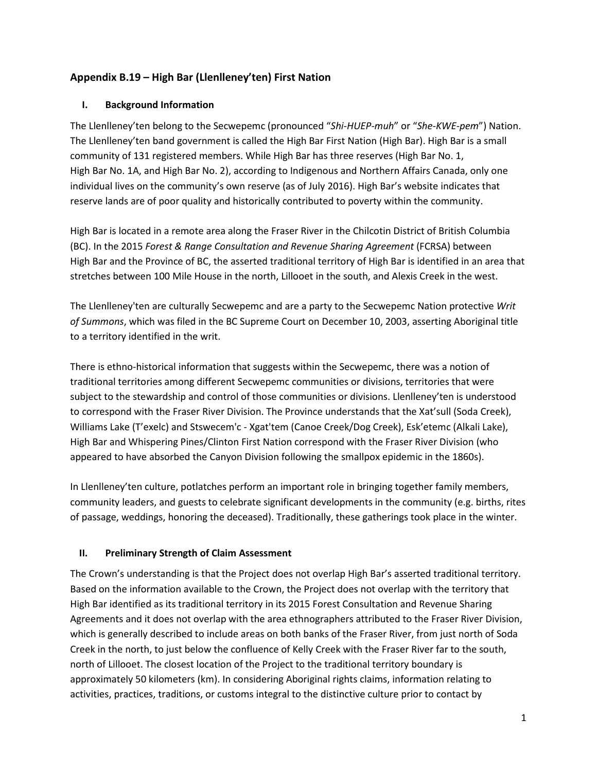# **Appendix B.19 – High Bar (Llenlleney'ten) First Nation**

# **I. Background Information**

The Llenlleney'ten belong to the Secwepemc (pronounced "*Shi-HUEP-muh*" or "*She-KWE-pem*") Nation. The Llenlleney'ten band government is called the High Bar First Nation (High Bar). High Bar is a small community of 131 registered members. While High Bar has three reserves (High Bar No. 1, High Bar No. 1A, and High Bar No. 2), according to Indigenous and Northern Affairs Canada, only one individual lives on the community's own reserve (as of July 2016). High Bar's website indicates that reserve lands are of poor quality and historically contributed to poverty within the community.

High Bar is located in a remote area along the Fraser River in the Chilcotin District of British Columbia (BC). In the 2015 *Forest & Range Consultation and Revenue Sharing Agreement* (FCRSA) between High Bar and the Province of BC, the asserted traditional territory of High Bar is identified in an area that stretches between 100 Mile House in the north, Lillooet in the south, and Alexis Creek in the west.

The Llenlleney'ten are culturally Secwepemc and are a party to the Secwepemc Nation protective *Writ of Summons*, which was filed in the BC Supreme Court on December 10, 2003, asserting Aboriginal title to a territory identified in the writ.

There is ethno-historical information that suggests within the Secwepemc, there was a notion of traditional territories among different Secwepemc communities or divisions, territories that were subject to the stewardship and control of those communities or divisions. Llenlleney'ten is understood to correspond with the Fraser River Division. The Province understands that the Xat'sull (Soda Creek), Williams Lake (T'exelc) and Stswecem'c - Xgat'tem (Canoe Creek/Dog Creek), Esk'etemc (Alkali Lake), High Bar and Whispering Pines/Clinton First Nation correspond with the Fraser River Division (who appeared to have absorbed the Canyon Division following the smallpox epidemic in the 1860s).

In Llenlleney'ten culture, potlatches perform an important role in bringing together family members, community leaders, and guests to celebrate significant developments in the community (e.g. births, rites of passage, weddings, honoring the deceased). Traditionally, these gatherings took place in the winter.

### **II. Preliminary Strength of Claim Assessment**

The Crown's understanding is that the Project does not overlap High Bar's asserted traditional territory. Based on the information available to the Crown, the Project does not overlap with the territory that High Bar identified as its traditional territory in its 2015 Forest Consultation and Revenue Sharing Agreements and it does not overlap with the area ethnographers attributed to the Fraser River Division, which is generally described to include areas on both banks of the Fraser River, from just north of Soda Creek in the north, to just below the confluence of Kelly Creek with the Fraser River far to the south, north of Lillooet. The closest location of the Project to the traditional territory boundary is approximately 50 kilometers (km). In considering Aboriginal rights claims, information relating to activities, practices, traditions, or customs integral to the distinctive culture prior to contact by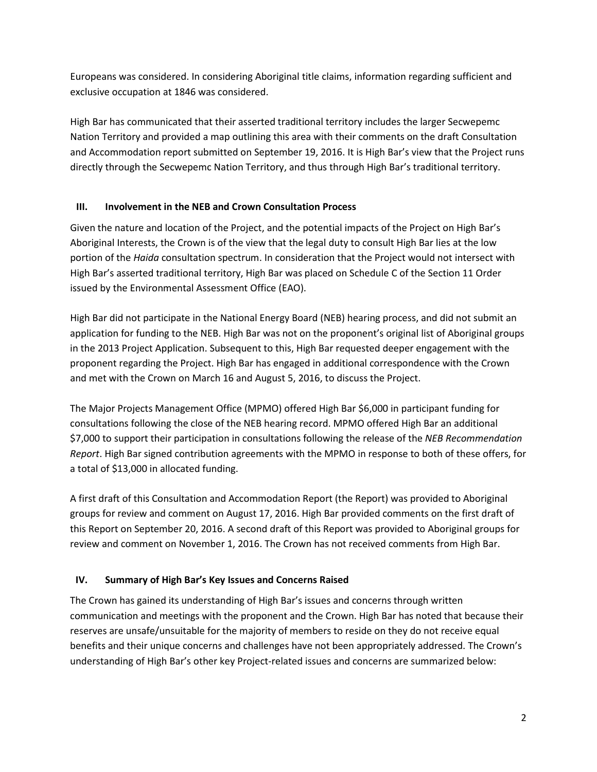Europeans was considered. In considering Aboriginal title claims, information regarding sufficient and exclusive occupation at 1846 was considered.

High Bar has communicated that their asserted traditional territory includes the larger Secwepemc Nation Territory and provided a map outlining this area with their comments on the draft Consultation and Accommodation report submitted on September 19, 2016. It is High Bar's view that the Project runs directly through the Secwepemc Nation Territory, and thus through High Bar's traditional territory.

# **III. Involvement in the NEB and Crown Consultation Process**

Given the nature and location of the Project, and the potential impacts of the Project on High Bar's Aboriginal Interests, the Crown is of the view that the legal duty to consult High Bar lies at the low portion of the *Haida* consultation spectrum. In consideration that the Project would not intersect with High Bar's asserted traditional territory, High Bar was placed on Schedule C of the Section 11 Order issued by the Environmental Assessment Office (EAO).

High Bar did not participate in the National Energy Board (NEB) hearing process, and did not submit an application for funding to the NEB. High Bar was not on the proponent's original list of Aboriginal groups in the 2013 Project Application. Subsequent to this, High Bar requested deeper engagement with the proponent regarding the Project. High Bar has engaged in additional correspondence with the Crown and met with the Crown on March 16 and August 5, 2016, to discuss the Project.

The Major Projects Management Office (MPMO) offered High Bar \$6,000 in participant funding for consultations following the close of the NEB hearing record. MPMO offered High Bar an additional \$7,000 to support their participation in consultations following the release of the *NEB Recommendation Report*. High Bar signed contribution agreements with the MPMO in response to both of these offers, for a total of \$13,000 in allocated funding.

A first draft of this Consultation and Accommodation Report (the Report) was provided to Aboriginal groups for review and comment on August 17, 2016. High Bar provided comments on the first draft of this Report on September 20, 2016. A second draft of this Report was provided to Aboriginal groups for review and comment on November 1, 2016. The Crown has not received comments from High Bar.

# **IV. Summary of High Bar's Key Issues and Concerns Raised**

The Crown has gained its understanding of High Bar's issues and concerns through written communication and meetings with the proponent and the Crown. High Bar has noted that because their reserves are unsafe/unsuitable for the majority of members to reside on they do not receive equal benefits and their unique concerns and challenges have not been appropriately addressed. The Crown's understanding of High Bar's other key Project-related issues and concerns are summarized below: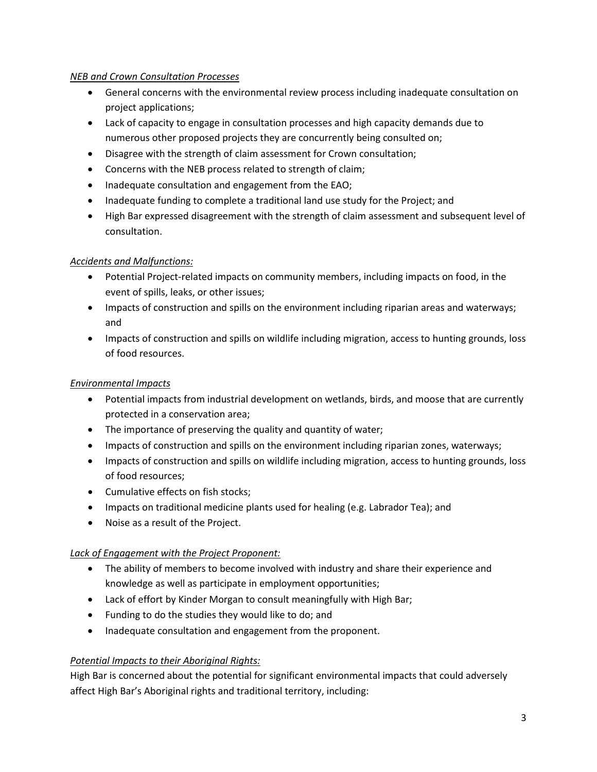# *NEB and Crown Consultation Processes*

- General concerns with the environmental review process including inadequate consultation on project applications;
- Lack of capacity to engage in consultation processes and high capacity demands due to numerous other proposed projects they are concurrently being consulted on;
- Disagree with the strength of claim assessment for Crown consultation;
- Concerns with the NEB process related to strength of claim;
- Inadequate consultation and engagement from the EAO;
- Inadequate funding to complete a traditional land use study for the Project; and
- High Bar expressed disagreement with the strength of claim assessment and subsequent level of consultation.

# *Accidents and Malfunctions:*

- Potential Project-related impacts on community members, including impacts on food, in the event of spills, leaks, or other issues;
- Impacts of construction and spills on the environment including riparian areas and waterways; and
- Impacts of construction and spills on wildlife including migration, access to hunting grounds, loss of food resources.

## *Environmental Impacts*

- Potential impacts from industrial development on wetlands, birds, and moose that are currently protected in a conservation area;
- The importance of preserving the quality and quantity of water;
- Impacts of construction and spills on the environment including riparian zones, waterways;
- Impacts of construction and spills on wildlife including migration, access to hunting grounds, loss of food resources;
- Cumulative effects on fish stocks;
- Impacts on traditional medicine plants used for healing (e.g. Labrador Tea); and
- Noise as a result of the Project.

### *Lack of Engagement with the Project Proponent:*

- The ability of members to become involved with industry and share their experience and knowledge as well as participate in employment opportunities;
- Lack of effort by Kinder Morgan to consult meaningfully with High Bar;
- Funding to do the studies they would like to do; and
- Inadequate consultation and engagement from the proponent.

### *Potential Impacts to their Aboriginal Rights:*

High Bar is concerned about the potential for significant environmental impacts that could adversely affect High Bar's Aboriginal rights and traditional territory, including: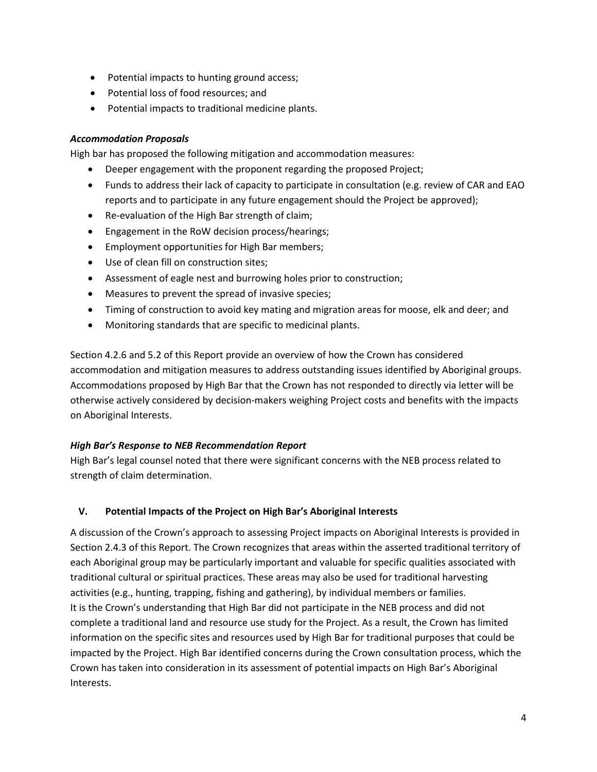- Potential impacts to hunting ground access;
- Potential loss of food resources; and
- Potential impacts to traditional medicine plants.

# *Accommodation Proposals*

High bar has proposed the following mitigation and accommodation measures:

- Deeper engagement with the proponent regarding the proposed Project;
- Funds to address their lack of capacity to participate in consultation (e.g. review of CAR and EAO reports and to participate in any future engagement should the Project be approved);
- Re-evaluation of the High Bar strength of claim;
- Engagement in the RoW decision process/hearings;
- Employment opportunities for High Bar members;
- Use of clean fill on construction sites;
- Assessment of eagle nest and burrowing holes prior to construction;
- Measures to prevent the spread of invasive species;
- Timing of construction to avoid key mating and migration areas for moose, elk and deer; and
- Monitoring standards that are specific to medicinal plants.

Section 4.2.6 and 5.2 of this Report provide an overview of how the Crown has considered accommodation and mitigation measures to address outstanding issues identified by Aboriginal groups. Accommodations proposed by High Bar that the Crown has not responded to directly via letter will be otherwise actively considered by decision-makers weighing Project costs and benefits with the impacts on Aboriginal Interests.

# *High Bar's Response to NEB Recommendation Report*

High Bar's legal counsel noted that there were significant concerns with the NEB process related to strength of claim determination.

# **V. Potential Impacts of the Project on High Bar's Aboriginal Interests**

A discussion of the Crown's approach to assessing Project impacts on Aboriginal Interests is provided in Section 2.4.3 of this Report. The Crown recognizes that areas within the asserted traditional territory of each Aboriginal group may be particularly important and valuable for specific qualities associated with traditional cultural or spiritual practices. These areas may also be used for traditional harvesting activities (e.g., hunting, trapping, fishing and gathering), by individual members or families. It is the Crown's understanding that High Bar did not participate in the NEB process and did not complete a traditional land and resource use study for the Project. As a result, the Crown has limited information on the specific sites and resources used by High Bar for traditional purposes that could be impacted by the Project. High Bar identified concerns during the Crown consultation process, which the Crown has taken into consideration in its assessment of potential impacts on High Bar's Aboriginal Interests.